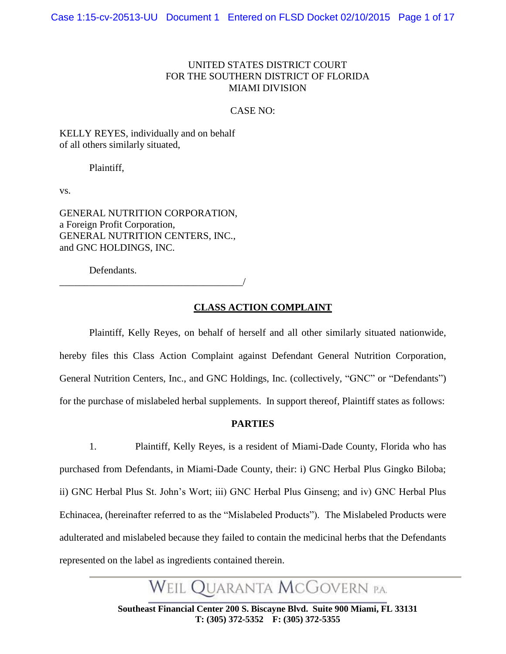#### UNITED STATES DISTRICT COURT FOR THE SOUTHERN DISTRICT OF FLORIDA MIAMI DIVISION

#### CASE NO:

KELLY REYES, individually and on behalf of all others similarly situated,

Plaintiff,

vs.

GENERAL NUTRITION CORPORATION, a Foreign Profit Corporation, GENERAL NUTRITION CENTERS, INC., and GNC HOLDINGS, INC.

Defendants.

\_\_\_\_\_\_\_\_\_\_\_\_\_\_\_\_\_\_\_\_\_\_\_\_\_\_\_\_\_\_\_\_\_\_\_\_\_/

#### **CLASS ACTION COMPLAINT**

Plaintiff, Kelly Reyes, on behalf of herself and all other similarly situated nationwide, hereby files this Class Action Complaint against Defendant General Nutrition Corporation, General Nutrition Centers, Inc., and GNC Holdings, Inc. (collectively, "GNC" or "Defendants") for the purchase of mislabeled herbal supplements. In support thereof, Plaintiff states as follows:

#### **PARTIES**

1. Plaintiff, Kelly Reyes, is a resident of Miami-Dade County, Florida who has purchased from Defendants, in Miami-Dade County, their: i) GNC Herbal Plus Gingko Biloba; ii) GNC Herbal Plus St. John's Wort; iii) GNC Herbal Plus Ginseng; and iv) GNC Herbal Plus Echinacea, (hereinafter referred to as the "Mislabeled Products"). The Mislabeled Products were adulterated and mislabeled because they failed to contain the medicinal herbs that the Defendants represented on the label as ingredients contained therein.

Weil Quaranta McGovern p.a.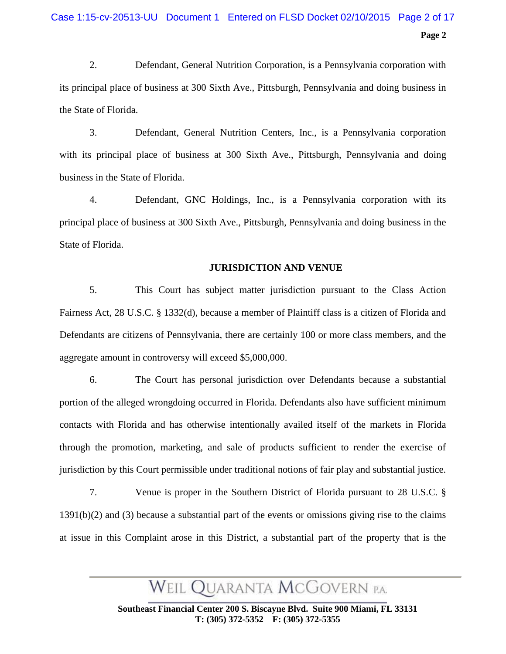2. Defendant, General Nutrition Corporation, is a Pennsylvania corporation with its principal place of business at 300 Sixth Ave., Pittsburgh, Pennsylvania and doing business in the State of Florida.

3. Defendant, General Nutrition Centers, Inc., is a Pennsylvania corporation with its principal place of business at 300 Sixth Ave., Pittsburgh, Pennsylvania and doing business in the State of Florida.

4. Defendant, GNC Holdings, Inc., is a Pennsylvania corporation with its principal place of business at 300 Sixth Ave., Pittsburgh, Pennsylvania and doing business in the State of Florida.

#### **JURISDICTION AND VENUE**

5. This Court has subject matter jurisdiction pursuant to the Class Action Fairness Act, 28 U.S.C. § 1332(d), because a member of Plaintiff class is a citizen of Florida and Defendants are citizens of Pennsylvania, there are certainly 100 or more class members, and the aggregate amount in controversy will exceed \$5,000,000.

6. The Court has personal jurisdiction over Defendants because a substantial portion of the alleged wrongdoing occurred in Florida. Defendants also have sufficient minimum contacts with Florida and has otherwise intentionally availed itself of the markets in Florida through the promotion, marketing, and sale of products sufficient to render the exercise of jurisdiction by this Court permissible under traditional notions of fair play and substantial justice.

7. Venue is proper in the Southern District of Florida pursuant to 28 U.S.C. § 1391(b)(2) and (3) because a substantial part of the events or omissions giving rise to the claims at issue in this Complaint arose in this District, a substantial part of the property that is the

WEIL QUARANTA MCGOVERN P.A.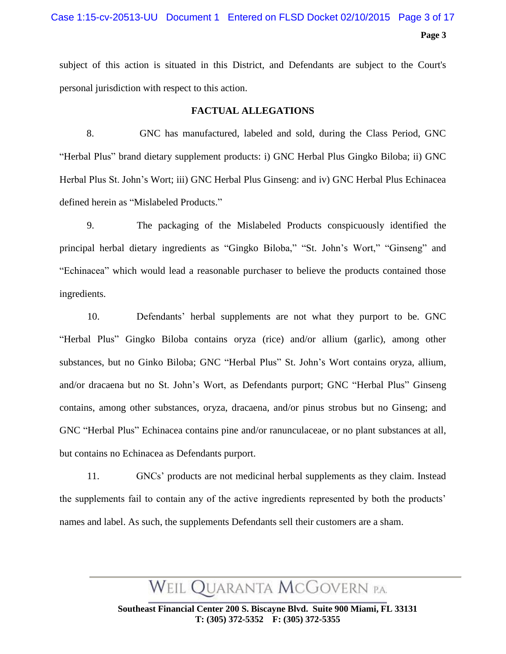#### Case 1:15-cv-20513-UU Document 1 Entered on FLSD Docket 02/10/2015 Page 3 of 17

**Page 3**

subject of this action is situated in this District, and Defendants are subject to the Court's personal jurisdiction with respect to this action.

#### **FACTUAL ALLEGATIONS**

8. GNC has manufactured, labeled and sold, during the Class Period, GNC "Herbal Plus" brand dietary supplement products: i) GNC Herbal Plus Gingko Biloba; ii) GNC Herbal Plus St. John's Wort; iii) GNC Herbal Plus Ginseng: and iv) GNC Herbal Plus Echinacea defined herein as "Mislabeled Products."

9. The packaging of the Mislabeled Products conspicuously identified the principal herbal dietary ingredients as "Gingko Biloba," "St. John's Wort," "Ginseng" and "Echinacea" which would lead a reasonable purchaser to believe the products contained those ingredients.

10. Defendants' herbal supplements are not what they purport to be. GNC "Herbal Plus" Gingko Biloba contains oryza (rice) and/or allium (garlic), among other substances, but no Ginko Biloba; GNC "Herbal Plus" St. John's Wort contains oryza, allium, and/or dracaena but no St. John's Wort, as Defendants purport; GNC "Herbal Plus" Ginseng contains, among other substances, oryza, dracaena, and/or pinus strobus but no Ginseng; and GNC "Herbal Plus" Echinacea contains pine and/or ranunculaceae, or no plant substances at all, but contains no Echinacea as Defendants purport.

11. GNCs' products are not medicinal herbal supplements as they claim. Instead the supplements fail to contain any of the active ingredients represented by both the products' names and label. As such, the supplements Defendants sell their customers are a sham.

WEIL QUARANTA MCGOVERN P.A.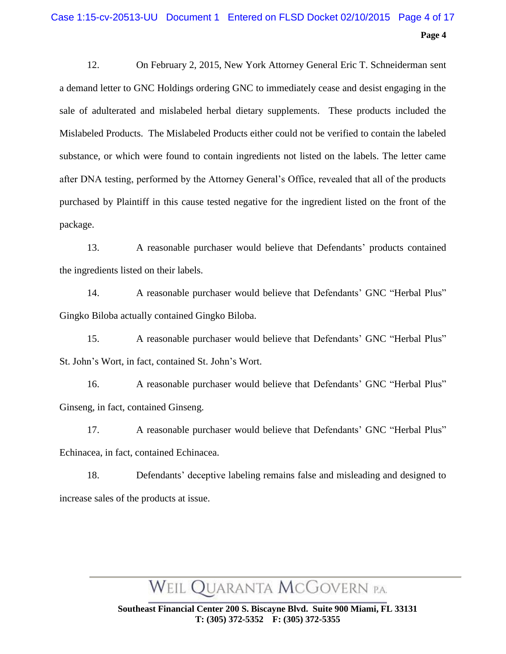### **Page 4** Case 1:15-cv-20513-UU Document 1 Entered on FLSD Docket 02/10/2015 Page 4 of 17

12. On February 2, 2015, New York Attorney General Eric T. Schneiderman sent a demand letter to GNC Holdings ordering GNC to immediately cease and desist engaging in the sale of adulterated and mislabeled herbal dietary supplements. These products included the Mislabeled Products. The Mislabeled Products either could not be verified to contain the labeled substance, or which were found to contain ingredients not listed on the labels. The letter came after DNA testing, performed by the Attorney General's Office, revealed that all of the products purchased by Plaintiff in this cause tested negative for the ingredient listed on the front of the package.

13. A reasonable purchaser would believe that Defendants' products contained the ingredients listed on their labels.

14. A reasonable purchaser would believe that Defendants' GNC "Herbal Plus" Gingko Biloba actually contained Gingko Biloba.

15. A reasonable purchaser would believe that Defendants' GNC "Herbal Plus" St. John's Wort, in fact, contained St. John's Wort.

16. A reasonable purchaser would believe that Defendants' GNC "Herbal Plus" Ginseng, in fact, contained Ginseng.

17. A reasonable purchaser would believe that Defendants' GNC "Herbal Plus" Echinacea, in fact, contained Echinacea.

18. Defendants' deceptive labeling remains false and misleading and designed to increase sales of the products at issue.

# WEIL QUARANTA MCGOVERN P.A.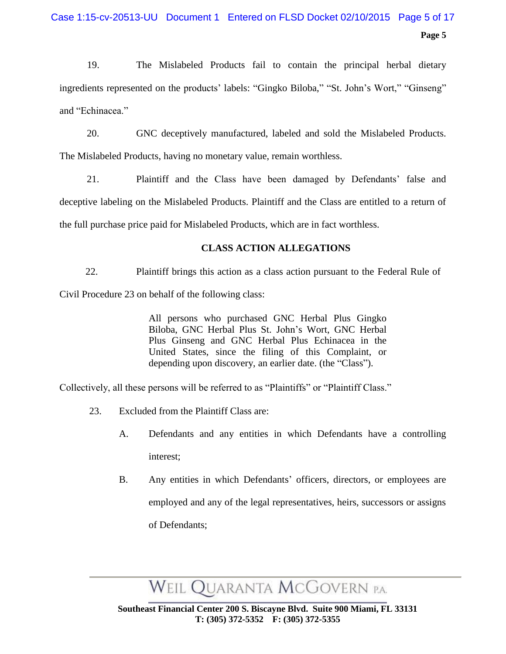19. The Mislabeled Products fail to contain the principal herbal dietary ingredients represented on the products' labels: "Gingko Biloba," "St. John's Wort," "Ginseng" and "Echinacea."

20. GNC deceptively manufactured, labeled and sold the Mislabeled Products. The Mislabeled Products, having no monetary value, remain worthless.

21. Plaintiff and the Class have been damaged by Defendants' false and deceptive labeling on the Mislabeled Products. Plaintiff and the Class are entitled to a return of the full purchase price paid for Mislabeled Products, which are in fact worthless.

### **CLASS ACTION ALLEGATIONS**

22. Plaintiff brings this action as a class action pursuant to the Federal Rule of Civil Procedure 23 on behalf of the following class:

> All persons who purchased GNC Herbal Plus Gingko Biloba, GNC Herbal Plus St. John's Wort, GNC Herbal Plus Ginseng and GNC Herbal Plus Echinacea in the United States, since the filing of this Complaint, or depending upon discovery, an earlier date. (the "Class").

Collectively, all these persons will be referred to as "Plaintiffs" or "Plaintiff Class."

- 23. Excluded from the Plaintiff Class are:
	- A. Defendants and any entities in which Defendants have a controlling interest;
	- B. Any entities in which Defendants' officers, directors, or employees are employed and any of the legal representatives, heirs, successors or assigns of Defendants;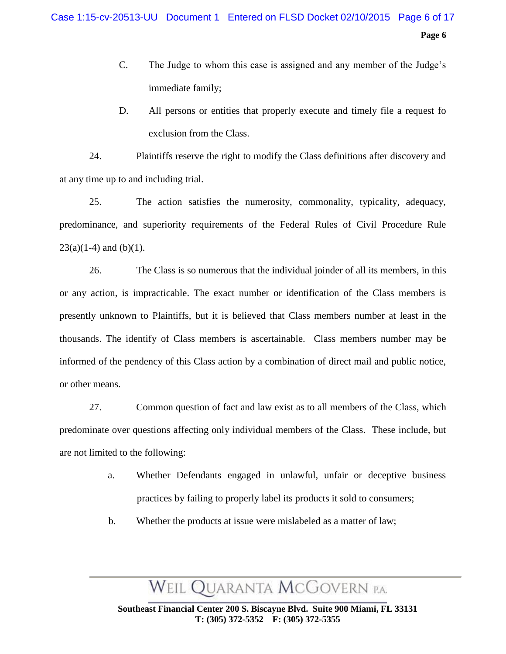- C. The Judge to whom this case is assigned and any member of the Judge's immediate family;
- D. All persons or entities that properly execute and timely file a request fo exclusion from the Class.

24. Plaintiffs reserve the right to modify the Class definitions after discovery and at any time up to and including trial.

25. The action satisfies the numerosity, commonality, typicality, adequacy, predominance, and superiority requirements of the Federal Rules of Civil Procedure Rule  $23(a)(1-4)$  and (b)(1).

26. The Class is so numerous that the individual joinder of all its members, in this or any action, is impracticable. The exact number or identification of the Class members is presently unknown to Plaintiffs, but it is believed that Class members number at least in the thousands. The identify of Class members is ascertainable. Class members number may be informed of the pendency of this Class action by a combination of direct mail and public notice, or other means.

27. Common question of fact and law exist as to all members of the Class, which predominate over questions affecting only individual members of the Class. These include, but are not limited to the following:

- a. Whether Defendants engaged in unlawful, unfair or deceptive business practices by failing to properly label its products it sold to consumers;
- b. Whether the products at issue were mislabeled as a matter of law;

# WEIL QUARANTA MCGOVERN P.A.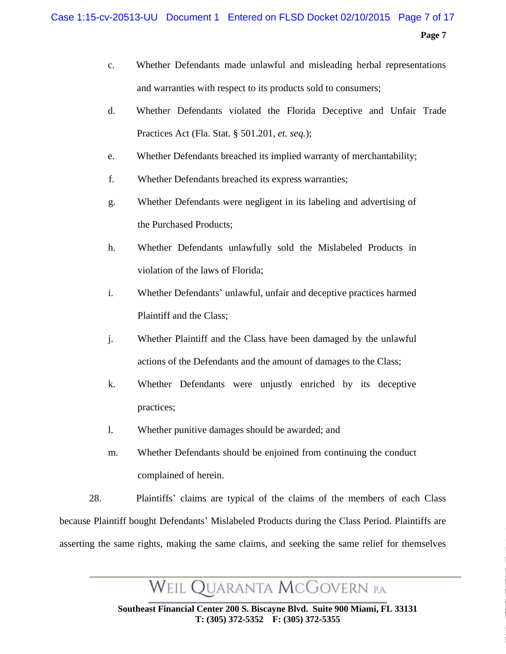#### Case 1:15-cv-20513-UU Document 1 Entered on FLSD Docket 02/10/2015 Page 7 of 17

**Page 7**

- c. Whether Defendants made unlawful and misleading herbal representations and warranties with respect to its products sold to consumers;
- d. Whether Defendants violated the Florida Deceptive and Unfair Trade Practices Act (Fla. Stat. § 501.201, *et. seq.*);
- e. Whether Defendants breached its implied warranty of merchantability;
- f. Whether Defendants breached its express warranties;
- g. Whether Defendants were negligent in its labeling and advertising of the Purchased Products;
- h. Whether Defendants unlawfully sold the Mislabeled Products in violation of the laws of Florida;
- i. Whether Defendants' unlawful, unfair and deceptive practices harmed Plaintiff and the Class;
- j. Whether Plaintiff and the Class have been damaged by the unlawful actions of the Defendants and the amount of damages to the Class;
- k. Whether Defendants were unjustly enriched by its deceptive practices;
- l. Whether punitive damages should be awarded; and
- m. Whether Defendants should be enjoined from continuing the conduct complained of herein.

28. Plaintiffs' claims are typical of the claims of the members of each Class because Plaintiff bought Defendants' Mislabeled Products during the Class Period. Plaintiffs are asserting the same rights, making the same claims, and seeking the same relief for themselves

WEIL QUARANTA MCGOVERN P.A.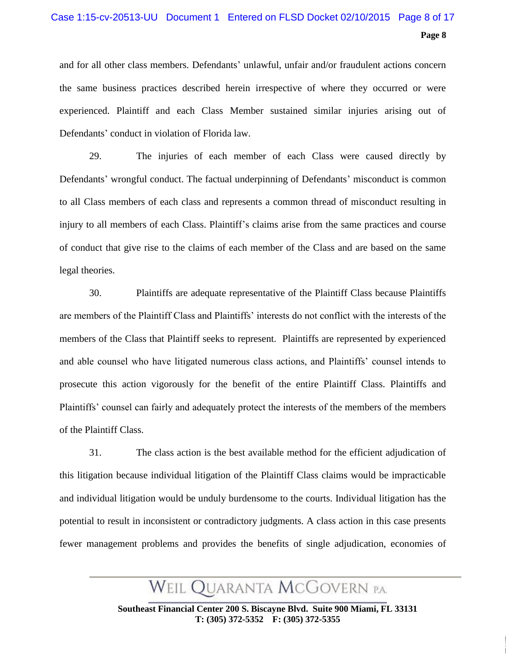### Case 1:15-cv-20513-UU Document 1 Entered on FLSD Docket 02/10/2015 Page 8 of 17

**Page 8**

and for all other class members. Defendants' unlawful, unfair and/or fraudulent actions concern the same business practices described herein irrespective of where they occurred or were experienced. Plaintiff and each Class Member sustained similar injuries arising out of Defendants' conduct in violation of Florida law.

29. The injuries of each member of each Class were caused directly by Defendants' wrongful conduct. The factual underpinning of Defendants' misconduct is common to all Class members of each class and represents a common thread of misconduct resulting in injury to all members of each Class. Plaintiff's claims arise from the same practices and course of conduct that give rise to the claims of each member of the Class and are based on the same legal theories.

30. Plaintiffs are adequate representative of the Plaintiff Class because Plaintiffs are members of the Plaintiff Class and Plaintiffs' interests do not conflict with the interests of the members of the Class that Plaintiff seeks to represent. Plaintiffs are represented by experienced and able counsel who have litigated numerous class actions, and Plaintiffs' counsel intends to prosecute this action vigorously for the benefit of the entire Plaintiff Class. Plaintiffs and Plaintiffs' counsel can fairly and adequately protect the interests of the members of the members of the Plaintiff Class.

31. The class action is the best available method for the efficient adjudication of this litigation because individual litigation of the Plaintiff Class claims would be impracticable and individual litigation would be unduly burdensome to the courts. Individual litigation has the potential to result in inconsistent or contradictory judgments. A class action in this case presents fewer management problems and provides the benefits of single adjudication, economies of

WEIL QUARANTA MCGOVERN P.A.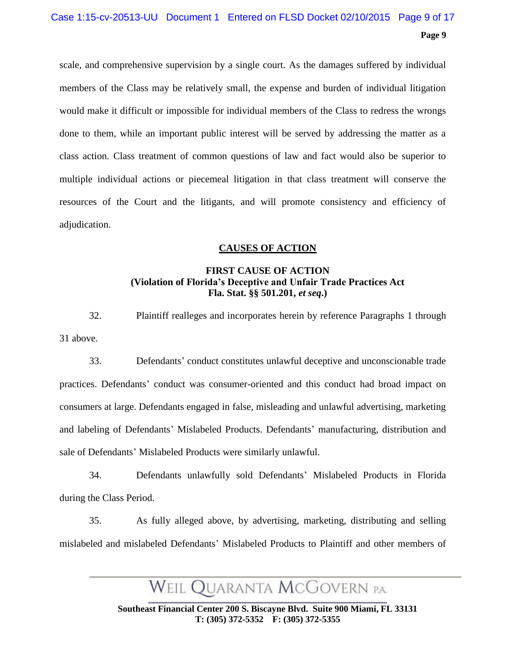# Case 1:15-cv-20513-UU Document 1 Entered on FLSD Docket 02/10/2015 Page 9 of 17

**Page 9**

scale, and comprehensive supervision by a single court. As the damages suffered by individual members of the Class may be relatively small, the expense and burden of individual litigation would make it difficult or impossible for individual members of the Class to redress the wrongs done to them, while an important public interest will be served by addressing the matter as a class action. Class treatment of common questions of law and fact would also be superior to multiple individual actions or piecemeal litigation in that class treatment will conserve the resources of the Court and the litigants, and will promote consistency and efficiency of adjudication.

#### **CAUSES OF ACTION**

#### **FIRST CAUSE OF ACTION (Violation of Florida's Deceptive and Unfair Trade Practices Act Fla. Stat. §§ 501.201,** *et seq***.)**

32. Plaintiff realleges and incorporates herein by reference Paragraphs 1 through 31 above.

33. Defendants' conduct constitutes unlawful deceptive and unconscionable trade practices. Defendants' conduct was consumer-oriented and this conduct had broad impact on consumers at large. Defendants engaged in false, misleading and unlawful advertising, marketing and labeling of Defendants' Mislabeled Products. Defendants' manufacturing, distribution and sale of Defendants' Mislabeled Products were similarly unlawful.

34. Defendants unlawfully sold Defendants' Mislabeled Products in Florida during the Class Period.

35. As fully alleged above, by advertising, marketing, distributing and selling mislabeled and mislabeled Defendants' Mislabeled Products to Plaintiff and other members of

WEIL QUARANTA MCGOVERN P.A.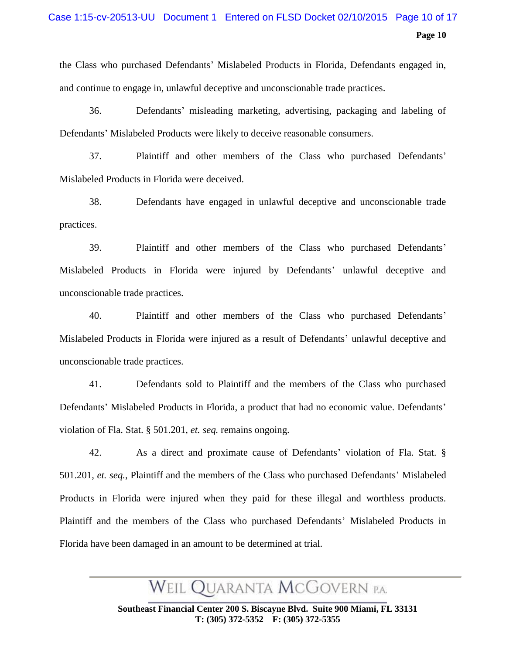### Case 1:15-cv-20513-UU Document 1 Entered on FLSD Docket 02/10/2015 Page 10 of 17

**Page 10**

the Class who purchased Defendants' Mislabeled Products in Florida, Defendants engaged in, and continue to engage in, unlawful deceptive and unconscionable trade practices.

36. Defendants' misleading marketing, advertising, packaging and labeling of Defendants' Mislabeled Products were likely to deceive reasonable consumers.

37. Plaintiff and other members of the Class who purchased Defendants' Mislabeled Products in Florida were deceived.

38. Defendants have engaged in unlawful deceptive and unconscionable trade practices.

39. Plaintiff and other members of the Class who purchased Defendants' Mislabeled Products in Florida were injured by Defendants' unlawful deceptive and unconscionable trade practices.

40. Plaintiff and other members of the Class who purchased Defendants' Mislabeled Products in Florida were injured as a result of Defendants' unlawful deceptive and unconscionable trade practices.

41. Defendants sold to Plaintiff and the members of the Class who purchased Defendants' Mislabeled Products in Florida, a product that had no economic value. Defendants' violation of Fla. Stat. § 501.201, *et. seq.* remains ongoing.

42. As a direct and proximate cause of Defendants' violation of Fla. Stat. § 501.201, *et. seq.*, Plaintiff and the members of the Class who purchased Defendants' Mislabeled Products in Florida were injured when they paid for these illegal and worthless products. Plaintiff and the members of the Class who purchased Defendants' Mislabeled Products in Florida have been damaged in an amount to be determined at trial.

Weil Quaranta McGovern p.a.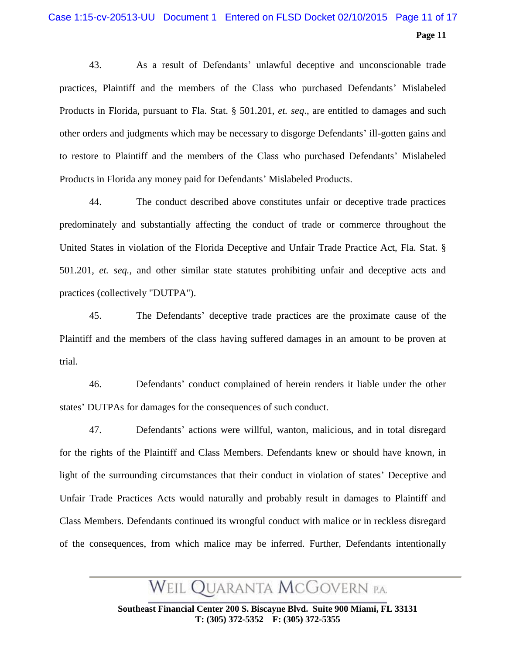### Case 1:15-cv-20513-UU Document 1 Entered on FLSD Docket 02/10/2015 Page 11 of 17

#### **Page 11**

43. As a result of Defendants' unlawful deceptive and unconscionable trade practices, Plaintiff and the members of the Class who purchased Defendants' Mislabeled Products in Florida, pursuant to Fla. Stat. § 501.201, *et. seq*., are entitled to damages and such other orders and judgments which may be necessary to disgorge Defendants' ill-gotten gains and to restore to Plaintiff and the members of the Class who purchased Defendants' Mislabeled Products in Florida any money paid for Defendants' Mislabeled Products.

44. The conduct described above constitutes unfair or deceptive trade practices predominately and substantially affecting the conduct of trade or commerce throughout the United States in violation of the Florida Deceptive and Unfair Trade Practice Act, Fla. Stat. § 501.201, *et. seq.*, and other similar state statutes prohibiting unfair and deceptive acts and practices (collectively "DUTPA").

45. The Defendants' deceptive trade practices are the proximate cause of the Plaintiff and the members of the class having suffered damages in an amount to be proven at trial.

46. Defendants' conduct complained of herein renders it liable under the other states' DUTPAs for damages for the consequences of such conduct.

47. Defendants' actions were willful, wanton, malicious, and in total disregard for the rights of the Plaintiff and Class Members. Defendants knew or should have known, in light of the surrounding circumstances that their conduct in violation of states' Deceptive and Unfair Trade Practices Acts would naturally and probably result in damages to Plaintiff and Class Members. Defendants continued its wrongful conduct with malice or in reckless disregard of the consequences, from which malice may be inferred. Further, Defendants intentionally

# WEIL QUARANTA MCGOVERN P.A.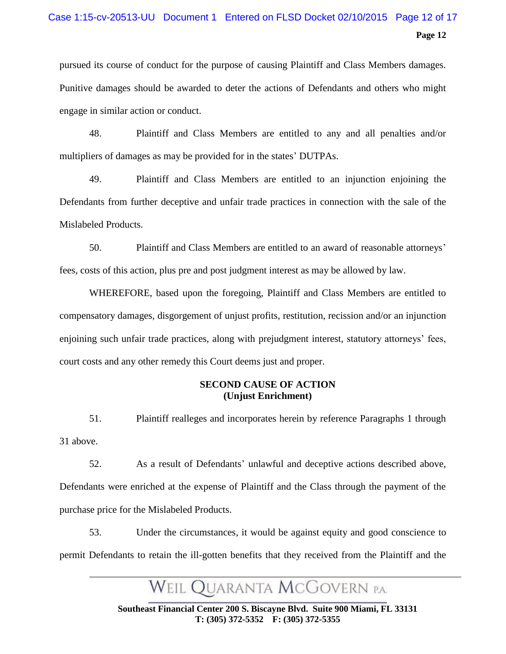# Case 1:15-cv-20513-UU Document 1 Entered on FLSD Docket 02/10/2015 Page 12 of 17

**Page 12**

pursued its course of conduct for the purpose of causing Plaintiff and Class Members damages. Punitive damages should be awarded to deter the actions of Defendants and others who might engage in similar action or conduct.

48. Plaintiff and Class Members are entitled to any and all penalties and/or multipliers of damages as may be provided for in the states' DUTPAs.

49. Plaintiff and Class Members are entitled to an injunction enjoining the Defendants from further deceptive and unfair trade practices in connection with the sale of the Mislabeled Products.

50. Plaintiff and Class Members are entitled to an award of reasonable attorneys' fees, costs of this action, plus pre and post judgment interest as may be allowed by law.

WHEREFORE, based upon the foregoing, Plaintiff and Class Members are entitled to compensatory damages, disgorgement of unjust profits, restitution, recission and/or an injunction enjoining such unfair trade practices, along with prejudgment interest, statutory attorneys' fees, court costs and any other remedy this Court deems just and proper.

#### **SECOND CAUSE OF ACTION (Unjust Enrichment)**

51. Plaintiff realleges and incorporates herein by reference Paragraphs 1 through 31 above.

52. As a result of Defendants' unlawful and deceptive actions described above, Defendants were enriched at the expense of Plaintiff and the Class through the payment of the purchase price for the Mislabeled Products.

53. Under the circumstances, it would be against equity and good conscience to permit Defendants to retain the ill-gotten benefits that they received from the Plaintiff and the

Weil Quaranta McGovern p.a.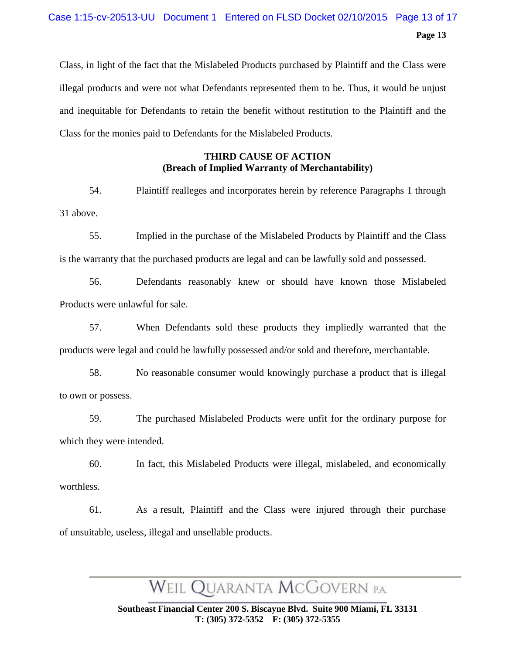### **Page 13** Case 1:15-cv-20513-UU Document 1 Entered on FLSD Docket 02/10/2015 Page 13 of 17

Class, in light of the fact that the Mislabeled Products purchased by Plaintiff and the Class were illegal products and were not what Defendants represented them to be. Thus, it would be unjust and inequitable for Defendants to retain the benefit without restitution to the Plaintiff and the Class for the monies paid to Defendants for the Mislabeled Products.

#### **THIRD CAUSE OF ACTION (Breach of Implied Warranty of Merchantability)**

54. Plaintiff realleges and incorporates herein by reference Paragraphs 1 through 31 above.

55. Implied in the purchase of the Mislabeled Products by Plaintiff and the Class is the warranty that the purchased products are legal and can be lawfully sold and possessed.

56. Defendants reasonably knew or should have known those Mislabeled Products were unlawful for sale.

57. When Defendants sold these products they impliedly warranted that the products were legal and could be lawfully possessed and/or sold and therefore, merchantable.

58. No reasonable consumer would knowingly purchase a product that is illegal to own or possess.

59. The purchased Mislabeled Products were unfit for the ordinary purpose for which they were intended.

60. In fact, this Mislabeled Products were illegal, mislabeled, and economically worthless.

61. As a result, Plaintiff and the Class were injured through their purchase of unsuitable, useless, illegal and unsellable products.

WEIL QUARANTA MCGOVERN P.A.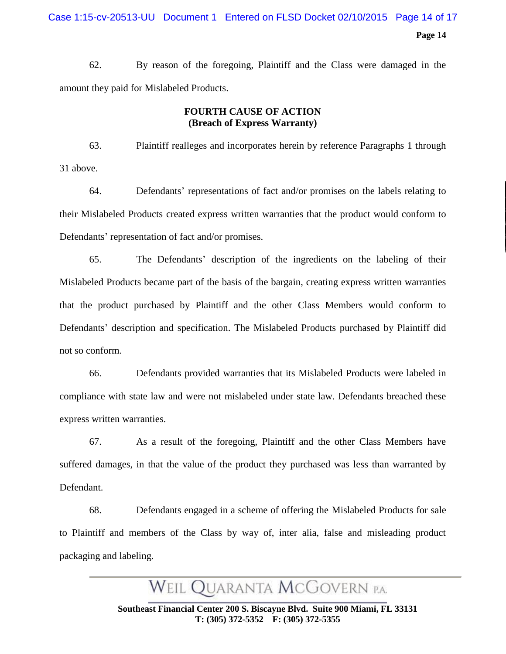62. By reason of the foregoing, Plaintiff and the Class were damaged in the amount they paid for Mislabeled Products.

#### **FOURTH CAUSE OF ACTION (Breach of Express Warranty)**

63. Plaintiff realleges and incorporates herein by reference Paragraphs 1 through 31 above.

64. Defendants' representations of fact and/or promises on the labels relating to their Mislabeled Products created express written warranties that the product would conform to Defendants' representation of fact and/or promises.

65. The Defendants' description of the ingredients on the labeling of their Mislabeled Products became part of the basis of the bargain, creating express written warranties that the product purchased by Plaintiff and the other Class Members would conform to Defendants' description and specification. The Mislabeled Products purchased by Plaintiff did not so conform.

66. Defendants provided warranties that its Mislabeled Products were labeled in compliance with state law and were not mislabeled under state law. Defendants breached these express written warranties.

67. As a result of the foregoing, Plaintiff and the other Class Members have suffered damages, in that the value of the product they purchased was less than warranted by Defendant.

68. Defendants engaged in a scheme of offering the Mislabeled Products for sale to Plaintiff and members of the Class by way of, inter alia, false and misleading product packaging and labeling.

WEIL QUARANTA MCGOVERN P.A.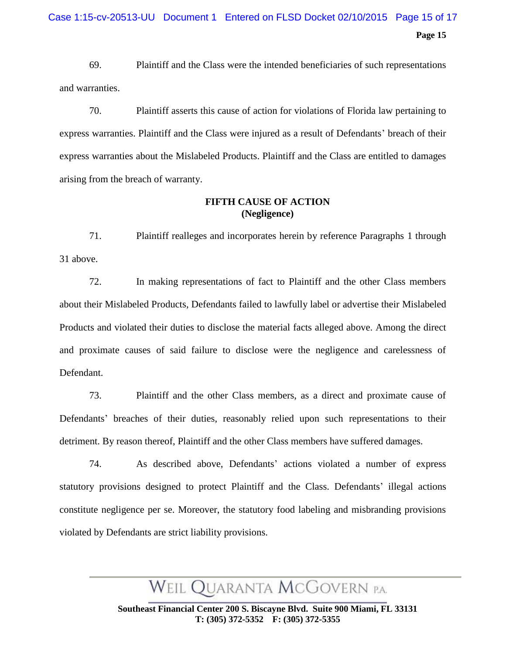69. Plaintiff and the Class were the intended beneficiaries of such representations and warranties.

70. Plaintiff asserts this cause of action for violations of Florida law pertaining to express warranties. Plaintiff and the Class were injured as a result of Defendants' breach of their express warranties about the Mislabeled Products. Plaintiff and the Class are entitled to damages arising from the breach of warranty.

#### **FIFTH CAUSE OF ACTION (Negligence)**

71. Plaintiff realleges and incorporates herein by reference Paragraphs 1 through 31 above.

72. In making representations of fact to Plaintiff and the other Class members about their Mislabeled Products, Defendants failed to lawfully label or advertise their Mislabeled Products and violated their duties to disclose the material facts alleged above. Among the direct and proximate causes of said failure to disclose were the negligence and carelessness of Defendant.

73. Plaintiff and the other Class members, as a direct and proximate cause of Defendants' breaches of their duties, reasonably relied upon such representations to their detriment. By reason thereof, Plaintiff and the other Class members have suffered damages.

74. As described above, Defendants' actions violated a number of express statutory provisions designed to protect Plaintiff and the Class. Defendants' illegal actions constitute negligence per se. Moreover, the statutory food labeling and misbranding provisions violated by Defendants are strict liability provisions.

WEIL QUARANTA MCGOVERN P.A.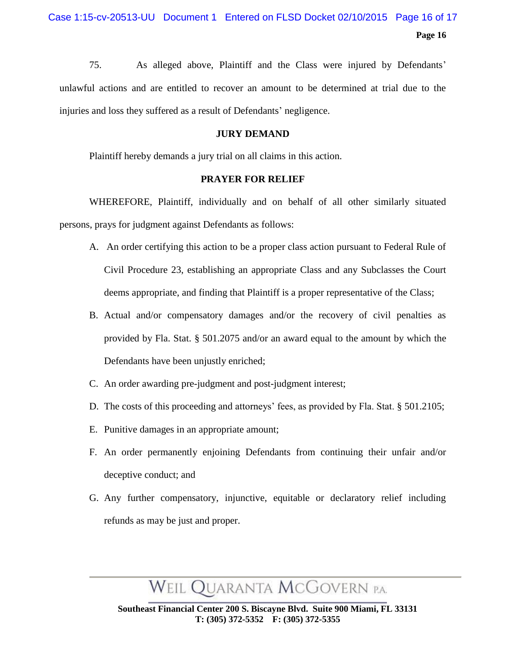75. As alleged above, Plaintiff and the Class were injured by Defendants' unlawful actions and are entitled to recover an amount to be determined at trial due to the injuries and loss they suffered as a result of Defendants' negligence.

#### **JURY DEMAND**

Plaintiff hereby demands a jury trial on all claims in this action.

#### **PRAYER FOR RELIEF**

WHEREFORE, Plaintiff, individually and on behalf of all other similarly situated persons, prays for judgment against Defendants as follows:

- A. An order certifying this action to be a proper class action pursuant to Federal Rule of Civil Procedure 23, establishing an appropriate Class and any Subclasses the Court deems appropriate, and finding that Plaintiff is a proper representative of the Class;
- B. Actual and/or compensatory damages and/or the recovery of civil penalties as provided by Fla. Stat. § 501.2075 and/or an award equal to the amount by which the Defendants have been unjustly enriched;
- C. An order awarding pre-judgment and post-judgment interest;
- D. The costs of this proceeding and attorneys' fees, as provided by Fla. Stat. § 501.2105;
- E. Punitive damages in an appropriate amount;
- F. An order permanently enjoining Defendants from continuing their unfair and/or deceptive conduct; and
- G. Any further compensatory, injunctive, equitable or declaratory relief including refunds as may be just and proper.

WEIL QUARANTA MCGOVERN P.A.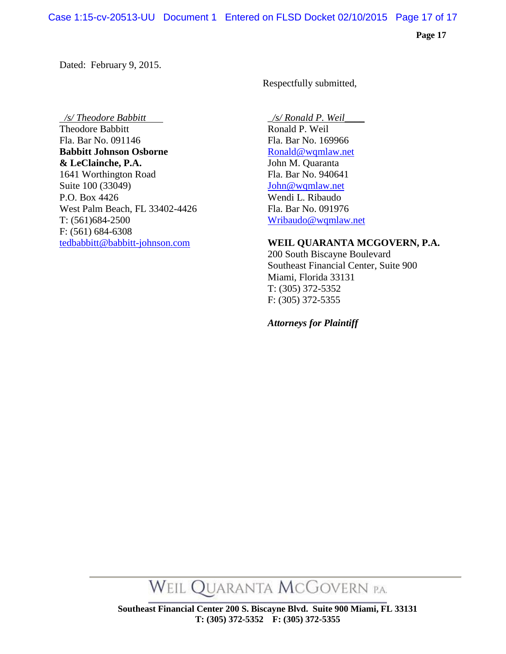Dated: February 9, 2015.

Respectfully submitted,

 */s/ Theodore Babbitt \_/s/ Ronald P. Weil\_\_\_\_*  Theodore Babbitt Fla. Bar No. 091146 Fla. Bar No. 169966 **Babbitt Johnson Osborne [Ronald@wqmlaw.net](mailto:Ronald@wqmlaw.net) & LeClainche, P.A.** John M. Quaranta 1641 Worthington Road Fla. Bar No. 940641 Suite 100 (33049) John @wqmlaw.net P.O. Box 4426 Wendi L. Ribaudo West Palm Beach, FL 33402-4426 Fla. Bar No. 091976 T: (561)684-2500 [Wribaudo@wqmlaw.net](mailto:Wribaudo@wqmlaw.net) F: (561) 684-6308

#### [tedbabbitt@babbitt-johnson.com](mailto:tedbabbitt@babbitt-johnson.com) **WEIL QUARANTA MCGOVERN, P.A.**

200 South Biscayne Boulevard Southeast Financial Center, Suite 900 Miami, Florida 33131 T: (305) 372-5352 F: (305) 372-5355

 *Attorneys for Plaintiff*

WEIL QUARANTA MCGOVERN P.A.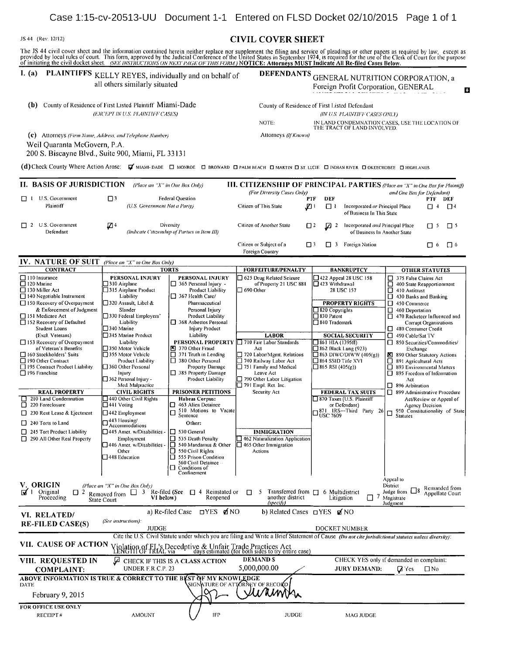#### **START (Rev. 12/12)** CIVIL COVER SHEET

The JS 44 civil cover sheet and the information contained herein neither replace nor supplement the filing and service of pleadings or other papers as required by law, except as provided by local rules of court. This form,

# I. (a) PLAINTIFFS KELLY REYES, individually and on behalf of DEFENDANTS GENERAL NUTRITION CORPORATION, a<br>all others similarly situated Fore and Benefit Corporation GENERAL

(b) County of Residence of First Listed Plaintiff Miami-Dade County of Residence of First Listed Defendant (*EXCEPT IN U.S. PLAINTIFF CASES*) (*IN U.S. PLAINTIFF CASES ONLY*) (EXCEPT IN U.S. PLAINTIFF CASES) (IN U.S. PLAINTIFF CASES)

NOTE: IN LAND CONDEMNATION CASES, USE TliE LOCATION oF THE TRACT OF LAND INVOLVED.

Foreign Profit Corporation, GENERAL 1012

(c) Attorneys (Firm Name, Address, and Telephone Number) Attorneys (If Known)

Weil Quaranta McGovern, P.A.

200 S. Biscayne Blvd., Suite 900, Miami, FL 33131

(d) Check County Where Action Arose: V MIAMI- DADE O MONROE O BROWARD O PALM BEACH O MARTIN O ST. LUCIE O INDIAN RIVER O OKEECHOBEE O HIGHLANDS

| II. BASIS OF JURISDICTION    |     | (Place an " $X$ " in One Box Only)                         |                                            |          |        | <b>III. CITIZENSHIP OF PRINCIPAL PARTIES</b> (Place an "X" in One Box for Plaintiff) |      |          |
|------------------------------|-----|------------------------------------------------------------|--------------------------------------------|----------|--------|--------------------------------------------------------------------------------------|------|----------|
|                              |     |                                                            | (For Diversity Cases Only)                 |          |        | and One Box for Defendant)                                                           |      |          |
| U.S. Government              |     | Federal Question                                           |                                            | PTF      | DEF    |                                                                                      | PTF  | DEF      |
| Plaintiff                    |     | (U.S. Government Not a Party)                              | Citizen of This State                      | ℒ        | $\Box$ | Incorporated or Principal Place<br>of Business In This State                         | ו ⊤  | ⊟ 4      |
| U.S. Government<br>Defendant | 4 ⊠ | Diversity<br>(Indicate Citizenship of Parties in Item III) | Citizen of Another State                   | $\Box$ 2 | ☑      | Incorporated and Principal Place<br>of Business In Another State                     | II 5 | $\Box$   |
|                              |     |                                                            | Citizen or Subject of a<br>Foreign Country |          |        | Foreign Nation                                                                       | 16   | $\Box$ 6 |

#### IV. NATURE OF SUIT (Place an "X" in One Box Only) CONTRACT TORTS FORFEITURE/PENALTY BANKRUPTCY OTHER STATUTES<br>
1999 110 Airplane 120 Marine 120 Marine 120 Marine 120 Marine 120 Marine 120 Marine 120 Marine 120 Marine 120<br>
1999 123 Mithdrawal 120 Marine 120 Marine 120 Mari **PERSONAL INJURY PERSONAL INJURY O** 625 Drug Related Seizure **D** 422 Appeal 28 USC 158 **D** 375 False Claims Act **D** 365 Personal Injury - of Property 21 USC 881 **0** 423 Withdrawal **D** 400 State Reapportion 0 <sup>120</sup> Marnie <sup>0310</sup> Airplane 0 <sup>365</sup> Personal Injury ofProperty <sup>21</sup> USC <sup>811</sup> <sup>0423</sup> Withdrawal 0 <sup>400</sup> State Reapportionment 0 1315 Airplane Product | Product Liability | 690 Other 28 USC 157 | 410 Antitrust | 410 Antitrust | 410 Antitrust | 430 Banks and Banking 0 140 Negotiable Instrument Liability | 367 Health Care/ 0 430 Banks and B<br>
1990 Banks and Banks and Banking Banking Banking Banking Banking Banks and Banking Banks and Banking Banks and<br>
1990 Banks and Banking Banking Ba 0 150 Recovery of Overpayment 320 Assault, Libel & Pharmaceutical & PROPERTY RIGHTS D 450 Commerce<br>
8 Enforcement of Judgment Slander Personal Injury Personal Injury D 320 Copyrights D 460 Deportation & Enforcement of Judgment Slander Personal Injury (BISEO Copyrights 15130 Personal Injury District Copyrights 1520 Copyrights 1520 Copyrights 1520 Copyrights 1520 Copyrights 1520 Personal Injury District Copyrights 1520 Pe 0 151 Medicare Act 1930 Federal Employers' Product Liability | 1530 Patent 1530 Patent 1530 Patent 16470 Racketeer Influenced and<br>1521 Patent 1530 Federal Patent 1530 Patent 1647 Corrupt Organizations 1530 Patent 1647 Corr 0 152 Recovery of Defaulted Liability 1368 Asbestos Personal 1984 Trademark Corrupt Organizations Corrupt Organizations 1984 Organizations 1984 Organizations 1984 Organizations 10340 Marine 10340 Marine 10340 Marine 10340 Student Loans<br>
(Excl. Veterans) 5345 Marine Product Liability LABOR SOCIAL SECURITY 1996 Consumer Credit<br>
1990 Cable/Sat TV Liability PERSONAL PROPERTY 10 Fair Labor Standards 1861 HIA (1395ff) 1850 Securities/Commodities/ 0 Recovery of Overpayment Liability Liability PERSONAL PROPERTY D710 Fair Labor Standards D861 HIA (1395ff) D 850 Securities/<br>19 150 Motor Vehicle B 370 Other Fraud Act Commodities Commodities/Commodities/Commodities/Comm of Veteran's Benefits (350 Motor Vehicle B 370 Other Fraud Act Act C 362 Black Lung (923) Exchange Exchange<br>
160 Stockholders' Suits (355 Motor Vehicle 1371 Truth in Lending 1720 Labor/Mgnt. Relations (160 Stockholders' Su 0 190 Other Contract Product Liability<br>
190 Other Contract Product Liability<br>
190 Other Contract Product Liability<br>
190 Other Contract Product Liability<br>
190 Other Statutory Actions<br>
200 Other Personal<br>
200 Other Personal 1990 Contract Channel Channel Channel Channel Channel Channel Channel Channel Channel Channel Channel Channel Channel Channel Channel Channel Channel Channel Channel Channel Channel Channel Channel Channel Channel Channel 0 362 Personal Injury Product Liability 0 790 Other Labor Litigation Act<br>Med. Malpractice Product Liability 0 791 Empl. Ret. lnc.<br>
□ 896 Arbitration 1 REAL PROPERTY CIVIL RIGHTS PRISONER PETITIONS Security Act FEDERAL TAX SUITS 10 896 Arbitration<br>
1999 Administrative Procedure FEDERAL TAX SUITS 899 Administrative Procedure<br>
1999 Administrative Procedure FEDERAL TAX SUITS O 210 Land Condemnation 1440 Other Civil Rights Habeas Corpus: 0 870 Taxes (U.S. Plainting 1440 Other Civil Rights Habeas Corpus: 0 870 Taxes (U.S. Plainting 1463 Alien Detainee or Defendant) <table>\n<tbody>\n<tr>\n<th>220 Foreclosure</th>\n<th>□ 441 Voting</th>\n<th>463 Alien Detailed</th>\n<th>463</th>\n<th>Alien Dedaine<br/>Sentence</th>\n<th>463</th>\n<th>Alien Dedaine<br/>of Defendant</th>\n<th>Or Defendant</th>\n<th>Alten<br/>of Defendant</th>\n<th>240</th>\n<th>Neckve W of Appendix</th>\n</tr>\n<tr>\n<td>230 Rent Lease & Ejectment</td>\n<td>□ 442 Emplogunent</td>\n<td>□ 510</td>\n<td>Motions to Vacate</td>\n<td>□ 510</td>\n<td>Adcions<br/>Sentence <sup>O</sup> <sup>230</sup> Rent Lease & Ejectment 0442Eiri nployment <sup>0</sup> Solvent Proteinus (1500 Metrical and Metrical and Metrical and Metrical and Metrical and Metrical and Metrical and Metrical and Metrical and Metrical and Metrical and Metrical and Metrical and Metrical and Metrical and Met Sentence<br>
Sentence  $\Box_{\text{USC}}^{\text{871}}$  IRS-Third Party 26  $\Box$  240 Torts to Land  $\Box$  443 Housing/  $\Box$  245 Tort Product Liability  $\Box$  445 Amer, w/Disabilities  $\Box$  530 General □ 245 Tort Product Liability □ 445 Amer. w/Disabilities - □ 530 General IMMIGRATION<br>□ 290 All Other Real Property Employment □ 535 Death Penalty □ 462 Naturalization App □ 290 All Other Real Property Employment 0 535 Death Penalty 1462 Naturalization Application<br>□ 446 Amer. w/Disabilities - □ 540 Mandamus & Other □ 465 Other Immigration  $\Box$ 446 Amer. w/Disabilities -  $\Box$  540 Mandamus & Other  $\Box$  465 Other In Other  $\Box$  550 Civil Rights Actions  $\Box$  448 Education 555 Chison Condition □ Conditions of Confinement Appeal to<br>District **V. ORIGIN** (Place an "X" in One Box Only)<br>  $\boxed{3}$  Re-filed (See  $\boxed{1}$  4 Reinstated or  $\boxed{1}$  5 Transferred from  $\boxed{1}$  6 Multidistrict  $\boxed{7}$  didge from  $\boxed{3}$  Re-filed (See  $\boxed{1}$  4 Reinstated or  $\boxed{1}$  5 Trans **13( I Original** 13) (*Place an "X" in One Box Only)*<br>
Original  $\Box$  2 Removed from  $\Box$  3 Re-filed (See  $\Box$  4 Reinstated or  $\Box$  5 Transferred from  $\Box$  6 Multidistrict  $\Box$  7 Magistrate  $\Box$  8 Remanded from State Court Magistrate Judgment VI. RELATED/ a) Re-filed Case  $\Box$ YES  $\vec{q}$ NO b) Related Cases  $\Box$ YES  $\vec{q}$ NO **b**) Related Cases  $\Box$ YES  $\vec{q}$ NO RE-FILED CASE(S) JUDGE DOCKET NUMBER Cite the U.S. Civil Statute under which you are filing and Write a Brief Statement of Cause (Do not cite jurisdictional statutes unless diversity): VII. CAUSE OF ACTION iolation of FL's Decedptive & Unfair Trade Practices Act<br>ENGITI OF TRIAL via days estimated (for both sides to try entire case) VIII. REQUESTED IN CHECK IF THIS IS A CLASS ACTION DEMAND S<br>COMPLAINT: UNDER F.R.C.P. 23 5,000,000.00 / JURY DEMAND: G Yes  $\Box$  No **COMPLAINT:** UNDER F.R.C.P. 23 5,000,000.00 JURY DEMAND:  $Q$  'tes  $\Box$  No ABOVE INFORMATION IS TRUE & CORRECT TO THE BEST OF MY KNOWLEDGE<br>DATE SIGNATURE OF ATTORNEY DATE 'LURE OF KE -11R. 'Y OF RECO D February 9, 2015 FOR OFFICE USE ONLY RECEIPT <sup>A</sup> AMOUNT IFP JUDGE MAG JUDGE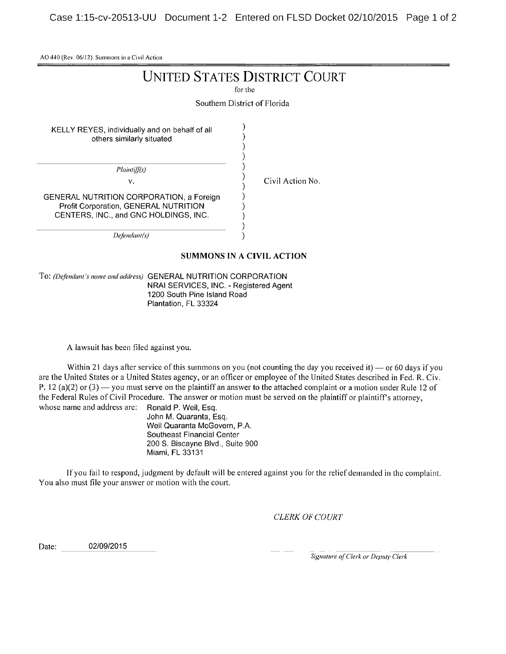Case 1:15-cv-20513-UU Document 1-2 Entered on FLSD Docket 02/10/2015 Page 1 of 2

AO <sup>440</sup> (Rev. 06/12) Summons in <sup>a</sup> Civil Action

### UNITED STATES DISTRICT COURT

for the

Southern District of Florida

í

)  $\lambda$ 

KELLY REYES, individually and on behalf of all others similarly situated

Plaintiff(s)

v. Civil Action No.

GENERAL NUTRITION CORPORATION, a Foreign Profit Corporation, GENERAL NUTRITION CENTERS, INC., and GNC HOLDINGS, INC.

Defendant(s)

#### SUMMONS IN A CIVIL ACTION

€ J,

To: (Defendant's name and address) GENERAL NUTRITION CORPORATION NRAI SERVICES, INC. - Registered Agent 1200 South Pine Island Road Plantation, FL 33324

A lawsuit has been filed against you.

Within 21 days after service of this summons on you (not counting the day you received it) — or 60 days if you are the United States or <sup>a</sup> United States agency, or an officer or employee of the United States described in Fed. R. Civ. P. 12 (a)(2) or (3) — you must serve on the plaintiff an answer to the attached complaint or a motion under Rule 12 of the Federal Rules of Civil Procedure. The answer or motion must be served on the plaintiff or plaintiff's attorney, whose name and address are: Ronald P. Weil. Esq. whose name and address are:

John M. Quaranta, Esq. Weil Quaranta McGovern, P.A. Southeast Financial Center 200 S. Biscayne Blvd., Suite 900 Miami, FL 33131

lf you fail to respond, judgment by default will be entered against you for the relief demanded in the complaint. You also must file your answer or motion with the court.

CLERK OF COURT

Date: 02/09/2015

Signature of Clerk or Deputy Clerk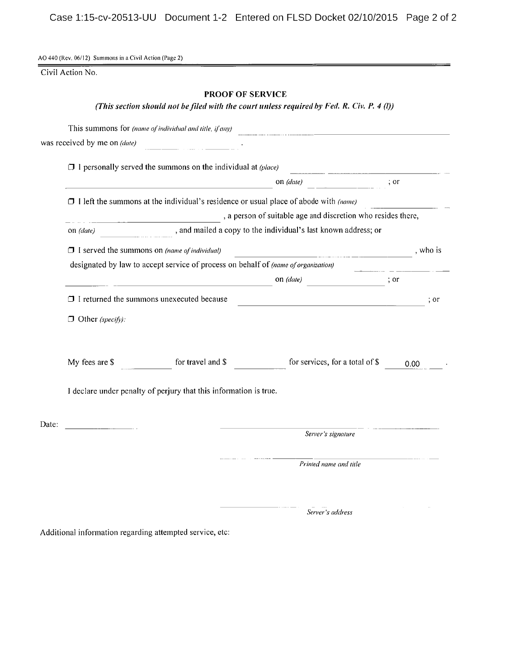Case 1:15-cv-20513-UU Document 1-2 Entered on FLSD Docket 02/10/2015 Page 2 of 2

AO 440 (Rev. 06/12) Summons in a Civil Action (Page 2)

Civil Action No.

#### PROOF OF SERVICE

#### (This section should not be filed with the court unless required by Fed. R. Civ. P. 4 (1))

|       |                                                                                                                                                                                                                                                                                                                                                                                                                                                                                                                                                          | This summons for (name of individual and title, if any)           |                                                                                                     |      |  |  |  |  |
|-------|----------------------------------------------------------------------------------------------------------------------------------------------------------------------------------------------------------------------------------------------------------------------------------------------------------------------------------------------------------------------------------------------------------------------------------------------------------------------------------------------------------------------------------------------------------|-------------------------------------------------------------------|-----------------------------------------------------------------------------------------------------|------|--|--|--|--|
|       | was received by me on (date)                                                                                                                                                                                                                                                                                                                                                                                                                                                                                                                             |                                                                   |                                                                                                     |      |  |  |  |  |
|       | $\Box$ I personally served the summons on the individual at (place)                                                                                                                                                                                                                                                                                                                                                                                                                                                                                      |                                                                   |                                                                                                     |      |  |  |  |  |
|       | on $(data)$<br>; or<br>$\Box$ I left the summons at the individual's residence or usual place of abode with (name)<br>and mailed a copy to the individual's last known address; or<br>on (date)<br>$\Box$ I served the summons on (name of individual)<br><u> 2000 - 2000 - 2000 - 2000 - 2000 - 2000 - 2000 - 2000 - 2000 - 2000 - 2000 - 2000 - 2000 - 2000 - 2000 - 200</u><br>designated by law to accept service of process on behalf of (name of organization)<br>on (date)<br>$\therefore$ or<br>$\Box$ I returned the summons unexecuted because |                                                                   |                                                                                                     |      |  |  |  |  |
|       |                                                                                                                                                                                                                                                                                                                                                                                                                                                                                                                                                          |                                                                   |                                                                                                     |      |  |  |  |  |
|       | , a person of suitable age and discretion who resides there,                                                                                                                                                                                                                                                                                                                                                                                                                                                                                             |                                                                   |                                                                                                     |      |  |  |  |  |
|       |                                                                                                                                                                                                                                                                                                                                                                                                                                                                                                                                                          |                                                                   |                                                                                                     |      |  |  |  |  |
|       |                                                                                                                                                                                                                                                                                                                                                                                                                                                                                                                                                          |                                                                   |                                                                                                     |      |  |  |  |  |
|       |                                                                                                                                                                                                                                                                                                                                                                                                                                                                                                                                                          |                                                                   |                                                                                                     |      |  |  |  |  |
|       |                                                                                                                                                                                                                                                                                                                                                                                                                                                                                                                                                          |                                                                   |                                                                                                     |      |  |  |  |  |
|       |                                                                                                                                                                                                                                                                                                                                                                                                                                                                                                                                                          |                                                                   | the contract of the contract of the contract of the contract of the contract of the contract of the | ; or |  |  |  |  |
|       | $\Box$ Other (specify):                                                                                                                                                                                                                                                                                                                                                                                                                                                                                                                                  |                                                                   |                                                                                                     |      |  |  |  |  |
|       | My fees are \$                                                                                                                                                                                                                                                                                                                                                                                                                                                                                                                                           | for travel and \$                                                 | for services, for a total of \$                                                                     | 0.00 |  |  |  |  |
|       |                                                                                                                                                                                                                                                                                                                                                                                                                                                                                                                                                          | I declare under penalty of perjury that this information is true. |                                                                                                     |      |  |  |  |  |
| Date: |                                                                                                                                                                                                                                                                                                                                                                                                                                                                                                                                                          |                                                                   | Server's signature                                                                                  |      |  |  |  |  |
|       |                                                                                                                                                                                                                                                                                                                                                                                                                                                                                                                                                          |                                                                   |                                                                                                     |      |  |  |  |  |
|       |                                                                                                                                                                                                                                                                                                                                                                                                                                                                                                                                                          |                                                                   | Printed name and title                                                                              |      |  |  |  |  |
|       |                                                                                                                                                                                                                                                                                                                                                                                                                                                                                                                                                          |                                                                   |                                                                                                     |      |  |  |  |  |
|       |                                                                                                                                                                                                                                                                                                                                                                                                                                                                                                                                                          |                                                                   | Server's address                                                                                    |      |  |  |  |  |

Additional information regarding attempted service, etc: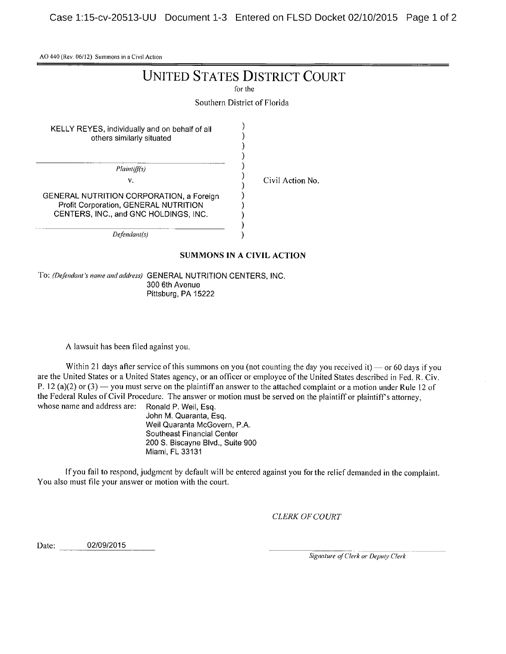Case 1:15-cv-20513-UU Document 1-3 Entered on FLSD Docket 02/10/2015 Page 1 of 2

AO 440 (Rev. 06/12) Summons in <sup>a</sup> Civil Action

## UNITED STATES DISTRICT COURT

for the

Southern District of Florida

)

KELLY REYES, individually and on behalf of all others similarly situated

> Plaintiff(s) v.

Civil Action No.

GENERAL NUTRITION CORPORATION, <sup>a</sup> Foreign Profit Corporation, GENERAL NUTRITION CENTERS, INC., and GNC HOLDINGS, INC.

Defendant(s)

#### SUMMONS IN A CIVIL ACTION

)

To: (Defendant's name and address) GENERAL NUTRITION CENTERS, INC. 300 6th Avenue Pittsburg, PA 15222

A lawsuit has been filed against you.

Within 21 days after service of this summons on you (not counting the day you received it)  $-$  or 60 days if you are the United States or <sup>a</sup> United States agency, or an officer or employee of the United States described in Fed. R. Civ. P. 12 (a)(2) or  $(3)$  you must serve on the plaintiff an answer to the attached complaint or a motion under Rule 12 of the Federal Rules of Civil Procedure. The answer or motion must be served on the plaintiff or plaintiff's attorney, whose name and address are: Ronald P. Weil, Esq. whose name and address are:

John M. Quaranta, Esq. Weil Quaranta McGovern, P.A. Southeast Financial Center 200 S. Biscayne Blvd., Suite 900 Miami, FL 33131

If you fail to respond, judgment by default will be entered against you for the relief demanded in the complaint. You also must file your answer or motion with the court.

CLERK OF COURT

Date: 02/09/2015

Signature of Clerk or Deputy Clerk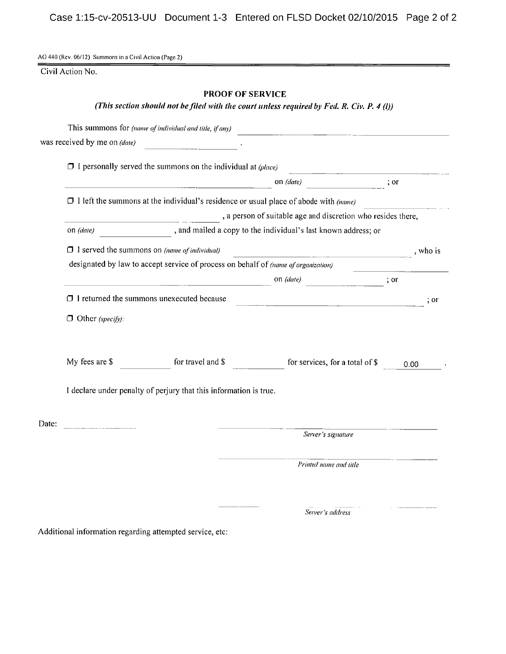Case 1:15-cv-20513-UU Document 1-3 Entered on FLSD Docket 02/10/2015 Page 2 of 2

AO 440 (Rev. 06/12) Summons in a Civil Action (Page 2)

Civil Action No.

#### PROOF OF SERVICE

#### (This section should not be filed with the court unless required by Fed. R. Civ. P. 4 (1))

|                                                                                                                                |                                                                                                                        | This summons for (name of individual and title, if any)                                     |                                                                                                                 |            |  |  |  |
|--------------------------------------------------------------------------------------------------------------------------------|------------------------------------------------------------------------------------------------------------------------|---------------------------------------------------------------------------------------------|-----------------------------------------------------------------------------------------------------------------|------------|--|--|--|
|                                                                                                                                | was received by me on (date)                                                                                           |                                                                                             |                                                                                                                 |            |  |  |  |
|                                                                                                                                |                                                                                                                        | $\Box$ I personally served the summons on the individual at (place)                         |                                                                                                                 |            |  |  |  |
|                                                                                                                                |                                                                                                                        |                                                                                             | on (date)                                                                                                       | ; or       |  |  |  |
|                                                                                                                                |                                                                                                                        | $\Box$ I left the summons at the individual's residence or usual place of abode with (name) |                                                                                                                 |            |  |  |  |
| , a person of suitable age and discretion who resides there,<br>, and mailed a copy to the individual's last known address; or |                                                                                                                        |                                                                                             |                                                                                                                 |            |  |  |  |
|                                                                                                                                | on (date)                                                                                                              |                                                                                             |                                                                                                                 |            |  |  |  |
|                                                                                                                                | $\Box$ I served the summons on (name of individual)<br><u> 1980 - Johann Barn, mars an t-Amerikaansk kommunister (</u> |                                                                                             |                                                                                                                 |            |  |  |  |
|                                                                                                                                |                                                                                                                        | designated by law to accept service of process on behalf of (name of organization)          |                                                                                                                 |            |  |  |  |
|                                                                                                                                |                                                                                                                        |                                                                                             | on (date)                                                                                                       | ; or       |  |  |  |
|                                                                                                                                |                                                                                                                        | $\Box$ I returned the summons unexecuted because                                            | the contract of the contract of the contract of the contract of the contract of the contract of the contract of | $\cdot$ or |  |  |  |
|                                                                                                                                | $\Box$ Other (specify):                                                                                                |                                                                                             |                                                                                                                 |            |  |  |  |
|                                                                                                                                | My fees are \$                                                                                                         | for travel and \$                                                                           | for services, for a total of \$                                                                                 | 0.00       |  |  |  |
|                                                                                                                                |                                                                                                                        | I declare under penalty of perjury that this information is true.                           |                                                                                                                 |            |  |  |  |
| Date:                                                                                                                          | <u>.</u><br>1940 - Johann Barnett, fransk konge                                                                        |                                                                                             |                                                                                                                 |            |  |  |  |
|                                                                                                                                |                                                                                                                        |                                                                                             | Server's signature                                                                                              |            |  |  |  |
|                                                                                                                                |                                                                                                                        |                                                                                             | Printed name and title                                                                                          |            |  |  |  |
|                                                                                                                                |                                                                                                                        |                                                                                             |                                                                                                                 |            |  |  |  |
|                                                                                                                                |                                                                                                                        |                                                                                             | Server's address                                                                                                |            |  |  |  |

Additional information regarding attempted service, etc: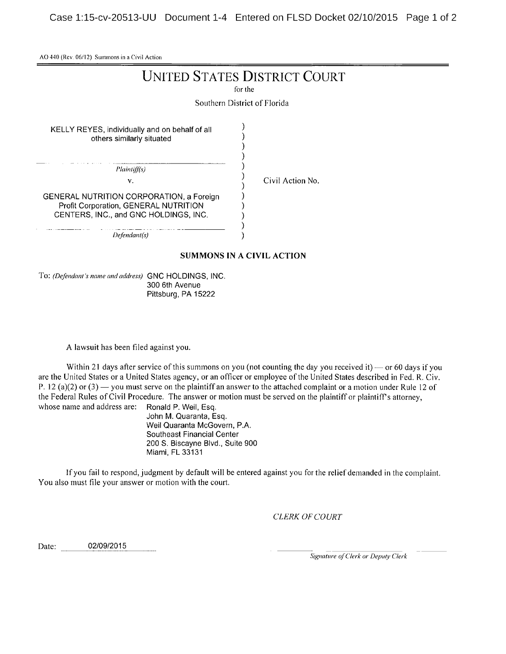Case 1:15-cv-20513-UU Document 1-4 Entered on FLSD Docket 02/10/2015 Page 1 of 2

AO 440 (Rev. 06/12) Summons in a Civil Action

# UNITED STATES DISTRICT COURT

for the

Southern District of Florida

 $\mathcal{E}$  $\lambda$  $\lambda$  $\lambda$  $\lambda$ 

KELLY REYES, individually and on behalf of all others similarly situated

Plaintiff(s)

v.  $\overline{C}$  Civil Action No.

GENERAL NUTRITION CORPORATION, a Foreign Profit Corporation, GENERAL NUTRITION CENTERS, INC., and GNC HOLDINGS, INC.

Defendant(s)

#### SUMMONS IN A CIVIL ACTION

١  $\lambda$ 

To: (Defendant's name and address) GNC HOLDINGS, INC. 300 6th Avenue Pittsburg, PA 15222

A lawsuit has been filed against you.

Within 21 days after service of this summons on you (not counting the day you received it) — or 60 days if you are the United States or <sup>a</sup> United States agency, or an officer or employee of the United States described in Fed. R. Civ. P. 12 (a)(2) or (3) — you must serve on the plaintiff an answer to the attached complaint or a motion under Rule 12 of the Federal Rules of Civil Procedure. The answer or motion must be served on the plaintiff or plaintiff's attorney, whose name and address are: Ronald P. Weil, Esq.

John M. Quaranta, Esq. Weil Quaranta McGovern, P.A. Southeast Financial Center 200 S. Biscayne Blvd., Suite 900 Miami, FL 33131

If you fail to respond, judgment by default will be entered against you for the relief demanded in the complaint. You also must file your answer or motion with the court.

CLERK OF COURT

Date: 02/09/2015

Signature of Clerk or Deputy Clerk